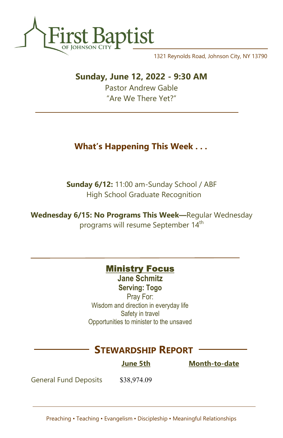

1321 Reynolds Road, Johnson City, NY 13790

## Sunday, June 12, 2022 - 9:30 AM

Pastor Andrew Gable "Are We There Yet?"

# What's Happening This Week . . .

Sunday 6/12: 11:00 am-Sunday School / ABF High School Graduate Recognition

Wednesday 6/15: No Programs This Week—Regular Wednesday programs will resume September 14<sup>th</sup>

#### **Ministry Focus**

Jane Schmitz Serving: Togo

Pray For: Wisdom and direction in everyday life Safety in travel Opportunities to minister to the unsaved

## STEWARDSHIP REPORT

June 5th Month-to-date

General Fund Deposits \$38,974.09